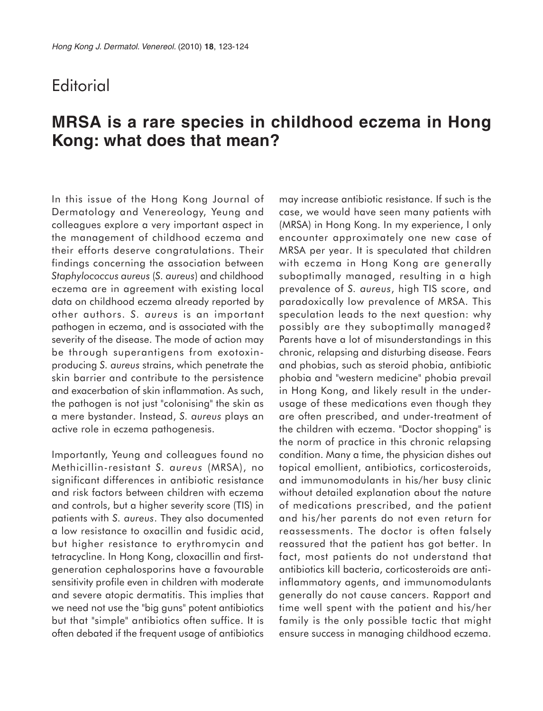## **Editorial**

## **MRSA is a rare species in childhood eczema in Hong Kong: what does that mean?**

In this issue of the Hong Kong Journal of Dermatology and Venereology, Yeung and colleagues explore a very important aspect in the management of childhood eczema and their efforts deserve congratulations. Their findings concerning the association between *Staphylococcus aureus* (*S. aureus*) and childhood eczema are in agreement with existing local data on childhood eczema already reported by other authors. *S. aureus* is an important pathogen in eczema, and is associated with the severity of the disease. The mode of action may be through superantigens from exotoxinproducing *S. aureus* strains, which penetrate the skin barrier and contribute to the persistence and exacerbation of skin inflammation. As such, the pathogen is not just "colonising" the skin as a mere bystander. Instead, *S. aureus* plays an active role in eczema pathogenesis.

Importantly, Yeung and colleagues found no Methicillin-resistant *S. aureus* (MRSA), no significant differences in antibiotic resistance and risk factors between children with eczema and controls, but a higher severity score (TIS) in patients with *S. aureus*. They also documented a low resistance to oxacillin and fusidic acid, but higher resistance to erythromycin and tetracycline. In Hong Kong, cloxacillin and firstgeneration cephalosporins have a favourable sensitivity profile even in children with moderate and severe atopic dermatitis. This implies that we need not use the "big guns" potent antibiotics but that "simple" antibiotics often suffice. It is often debated if the frequent usage of antibiotics may increase antibiotic resistance. If such is the case, we would have seen many patients with (MRSA) in Hong Kong. In my experience, I only encounter approximately one new case of MRSA per year. It is speculated that children with eczema in Hong Kong are generally suboptimally managed, resulting in a high prevalence of *S. aureus*, high TIS score, and paradoxically low prevalence of MRSA. This speculation leads to the next question: why possibly are they suboptimally managed? Parents have a lot of misunderstandings in this chronic, relapsing and disturbing disease. Fears and phobias, such as steroid phobia, antibiotic phobia and "western medicine" phobia prevail in Hong Kong, and likely result in the underusage of these medications even though they are often prescribed, and under-treatment of the children with eczema. "Doctor shopping" is the norm of practice in this chronic relapsing condition. Many a time, the physician dishes out topical emollient, antibiotics, corticosteroids, and immunomodulants in his/her busy clinic without detailed explanation about the nature of medications prescribed, and the patient and his/her parents do not even return for reassessments. The doctor is often falsely reassured that the patient has got better. In fact, most patients do not understand that antibiotics kill bacteria, corticosteroids are antiinflammatory agents, and immunomodulants generally do not cause cancers. Rapport and time well spent with the patient and his/her family is the only possible tactic that might ensure success in managing childhood eczema.